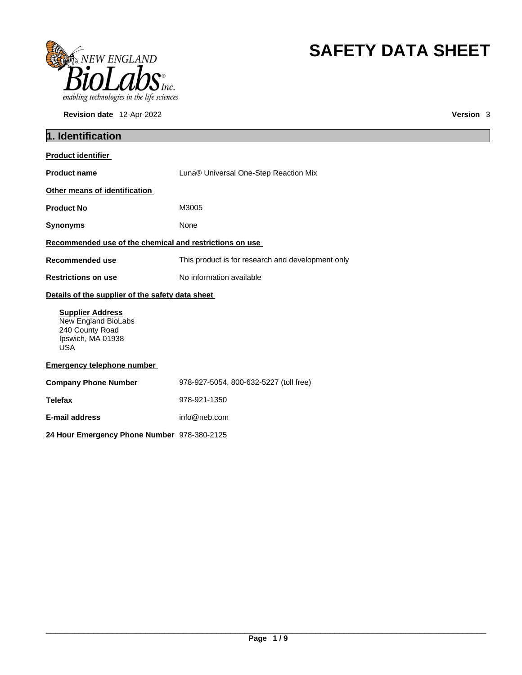

**Revision date** 12-Apr-2022 **Version** 3

# **SAFETY DATA SHEET**

| 1. Identification                                                                                    |                                                   |  |
|------------------------------------------------------------------------------------------------------|---------------------------------------------------|--|
| <b>Product identifier</b>                                                                            |                                                   |  |
| <b>Product name</b>                                                                                  | Luna® Universal One-Step Reaction Mix             |  |
| Other means of identification                                                                        |                                                   |  |
| <b>Product No</b>                                                                                    | M3005                                             |  |
| <b>Synonyms</b>                                                                                      | None                                              |  |
| Recommended use of the chemical and restrictions on use                                              |                                                   |  |
| <b>Recommended use</b>                                                                               | This product is for research and development only |  |
| <b>Restrictions on use</b>                                                                           | No information available                          |  |
| Details of the supplier of the safety data sheet                                                     |                                                   |  |
| <b>Supplier Address</b><br>New England BioLabs<br>240 County Road<br>Ipswich, MA 01938<br><b>USA</b> |                                                   |  |
| <b>Emergency telephone number</b>                                                                    |                                                   |  |
| <b>Company Phone Number</b>                                                                          | 978-927-5054, 800-632-5227 (toll free)            |  |
| <b>Telefax</b>                                                                                       | 978-921-1350                                      |  |
| <b>E-mail address</b>                                                                                | info@neb.com                                      |  |
| 24 Hour Emergency Phone Number 978-380-2125                                                          |                                                   |  |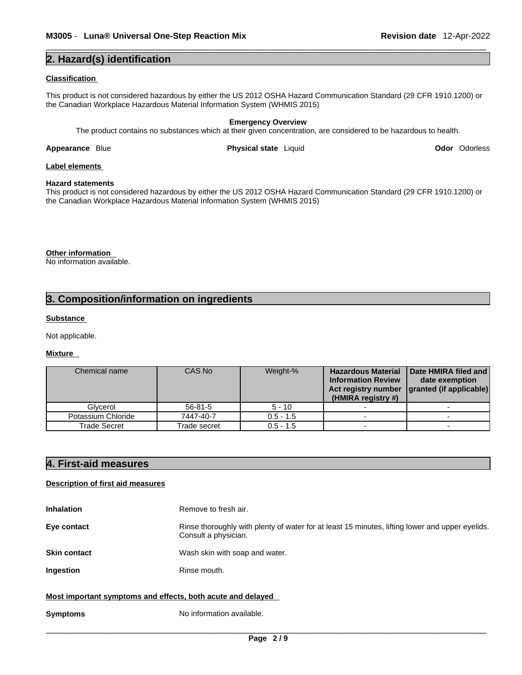# **2. Hazard(s) identification**

#### **Classification**

This product is not considered hazardous by either the US 2012 OSHA Hazard Communication Standard (29 CFR 1910.1200) or the Canadian Workplace Hazardous Material Information System (WHMIS 2015)

#### **Emergency Overview** The product contains no substances which at their given concentration, are considered to be hazardous to health.

**Appearance** Blue **Physical state** Liquid **Odor** Odorless

# **Label elements**

#### **Hazard statements**

This product is not considered hazardous by either the US 2012 OSHA Hazard Communication Standard (29 CFR 1910.1200) or the Canadian Workplace Hazardous Material Information System (WHMIS 2015)

# **Other information**

No information available.

# **3. Composition/information on ingredients**

### **Substance**

Not applicable.

### **Mixture**

| Chemical name      | CAS No        | Weight-%    | <b>Hazardous Material</b><br><b>Information Review</b><br>Act registry number<br>(HMIRA registry #) | Date HMIRA filed and<br>date exemption<br>granted (if applicable) |
|--------------------|---------------|-------------|-----------------------------------------------------------------------------------------------------|-------------------------------------------------------------------|
| Glvcerol           | $56 - 81 - 5$ | $5 - 10$    |                                                                                                     |                                                                   |
| Potassium Chloride | 7447-40-7     | $0.5 - 1.5$ |                                                                                                     |                                                                   |
| Trade Secret       | Trade secret  | $0.5 - 1.5$ |                                                                                                     |                                                                   |

# **4. First-aid measures**

# **Description of first aid measures**

| <b>Inhalation</b>                                           | Remove to fresh air.                                                                                                    |
|-------------------------------------------------------------|-------------------------------------------------------------------------------------------------------------------------|
| Eye contact                                                 | Rinse thoroughly with plenty of water for at least 15 minutes, lifting lower and upper eyelids.<br>Consult a physician. |
| <b>Skin contact</b>                                         | Wash skin with soap and water.                                                                                          |
| Ingestion                                                   | Rinse mouth.                                                                                                            |
| Most important symptoms and effects, both acute and delayed |                                                                                                                         |
| <b>Symptoms</b>                                             | No information available.                                                                                               |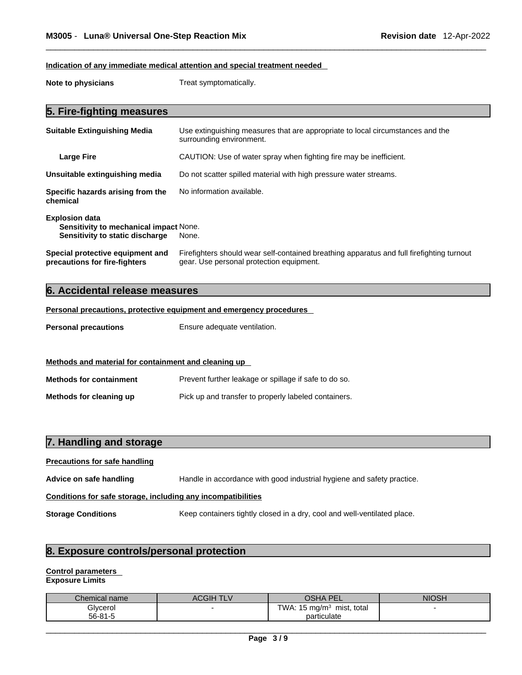# **Indication of any immediate medical attention and special treatment needed**

**Note to physicians** Treat symptomatically.

# **5. Fire-fighting measures**

| <b>Suitable Extinguishing Media</b>                                                                       | Use extinguishing measures that are appropriate to local circumstances and the<br>surrounding environment.                            |
|-----------------------------------------------------------------------------------------------------------|---------------------------------------------------------------------------------------------------------------------------------------|
| <b>Large Fire</b>                                                                                         | CAUTION: Use of water spray when fighting fire may be inefficient.                                                                    |
| Unsuitable extinguishing media                                                                            | Do not scatter spilled material with high pressure water streams.                                                                     |
| Specific hazards arising from the<br>chemical                                                             | No information available.                                                                                                             |
| <b>Explosion data</b><br><b>Sensitivity to mechanical impact None.</b><br>Sensitivity to static discharge | None.                                                                                                                                 |
| Special protective equipment and<br>precautions for fire-fighters                                         | Firefighters should wear self-contained breathing apparatus and full firefighting turnout<br>gear. Use personal protection equipment. |

# **6. Accidental release measures**

# **Personal precautions, protective equipment and emergency procedures**

**Personal precautions** Ensure adequate ventilation.

# **Methods and material for containment and cleaning up**

| <b>Methods for containment</b> | Prevent further leakage or spillage if safe to do so. |
|--------------------------------|-------------------------------------------------------|
| Methods for cleaning up        | Pick up and transfer to properly labeled containers.  |

| 7. Handling and storage                                      |                                                                          |  |
|--------------------------------------------------------------|--------------------------------------------------------------------------|--|
| <b>Precautions for safe handling</b>                         |                                                                          |  |
| Advice on safe handling                                      | Handle in accordance with good industrial hygiene and safety practice.   |  |
| Conditions for safe storage, including any incompatibilities |                                                                          |  |
| <b>Storage Conditions</b>                                    | Keep containers tightly closed in a dry, cool and well-ventilated place. |  |

# **8. Exposure controls/personal protection**

# **Control parameters**

**Exposure Limits**

| Chemical name | ACGIH TLV | <b>AH2C</b><br><b>PF</b><br>⊢              | <b>NIOSH</b> |
|---------------|-----------|--------------------------------------------|--------------|
| Glycerol      |           | TWA: $15 \text{ mg/m}^3$<br>mist.<br>total |              |
| $56 - 81 - 5$ |           | particulate                                |              |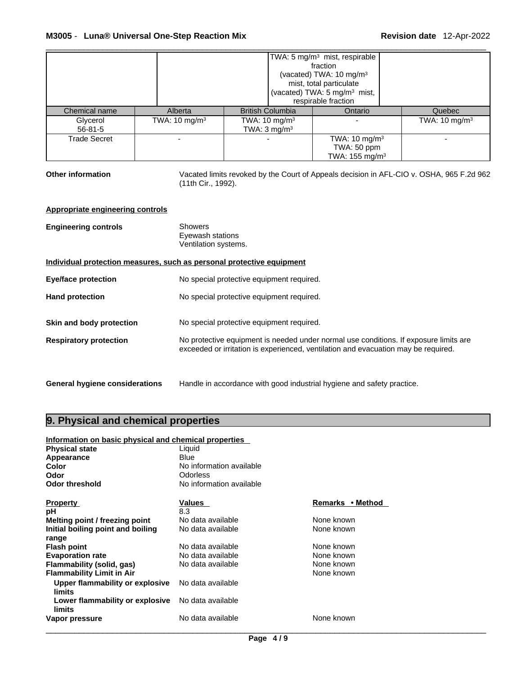|                                                                       |                           |                                                                                                                                                                             | TWA: 5 mg/m <sup>3</sup> mist, respirable<br>fraction<br>(vacated) TWA: 10 mg/m <sup>3</sup><br>mist, total particulate<br>(vacated) TWA: 5 mg/m <sup>3</sup> mist,<br>respirable fraction |                                                                                          |
|-----------------------------------------------------------------------|---------------------------|-----------------------------------------------------------------------------------------------------------------------------------------------------------------------------|--------------------------------------------------------------------------------------------------------------------------------------------------------------------------------------------|------------------------------------------------------------------------------------------|
| Chemical name                                                         | Alberta                   | <b>British Columbia</b>                                                                                                                                                     | Ontario                                                                                                                                                                                    | Quebec                                                                                   |
| Glycerol                                                              | TWA: 10 mg/m <sup>3</sup> | TWA: $10 \text{ mg/m}^3$                                                                                                                                                    |                                                                                                                                                                                            | TWA: $10 \text{ mg/m}^3$                                                                 |
| $56 - 81 - 5$                                                         |                           | TWA: $3 \text{ mg/m}^3$                                                                                                                                                     |                                                                                                                                                                                            |                                                                                          |
| <b>Trade Secret</b>                                                   |                           |                                                                                                                                                                             | TWA: 10 mg/m <sup>3</sup>                                                                                                                                                                  |                                                                                          |
|                                                                       |                           |                                                                                                                                                                             | TWA: 50 ppm                                                                                                                                                                                |                                                                                          |
|                                                                       |                           |                                                                                                                                                                             | TWA: 155 mg/m <sup>3</sup>                                                                                                                                                                 |                                                                                          |
| <b>Other information</b>                                              | (11th Cir., 1992).        |                                                                                                                                                                             |                                                                                                                                                                                            | Vacated limits revoked by the Court of Appeals decision in AFL-CIO v. OSHA, 965 F.2d 962 |
| Appropriate engineering controls                                      |                           |                                                                                                                                                                             |                                                                                                                                                                                            |                                                                                          |
| <b>Engineering controls</b>                                           | <b>Showers</b>            | Eyewash stations<br>Ventilation systems.                                                                                                                                    |                                                                                                                                                                                            |                                                                                          |
| Individual protection measures, such as personal protective equipment |                           |                                                                                                                                                                             |                                                                                                                                                                                            |                                                                                          |
| <b>Eye/face protection</b>                                            |                           | No special protective equipment required.                                                                                                                                   |                                                                                                                                                                                            |                                                                                          |
| <b>Hand protection</b>                                                |                           | No special protective equipment required.                                                                                                                                   |                                                                                                                                                                                            |                                                                                          |
| Skin and body protection                                              |                           | No special protective equipment required.                                                                                                                                   |                                                                                                                                                                                            |                                                                                          |
| <b>Respiratory protection</b>                                         |                           | No protective equipment is needed under normal use conditions. If exposure limits are<br>exceeded or irritation is experienced, ventilation and evacuation may be required. |                                                                                                                                                                                            |                                                                                          |
| <b>General hygiene considerations</b>                                 |                           | Handle in accordance with good industrial hygiene and safety practice.                                                                                                      |                                                                                                                                                                                            |                                                                                          |

# **9. Physical and chemical properties**

| Information on basic physical and chemical properties |                          |                  |  |
|-------------------------------------------------------|--------------------------|------------------|--|
| <b>Physical state</b>                                 | Liquid                   |                  |  |
| Appearance                                            | Blue                     |                  |  |
| Color                                                 | No information available |                  |  |
| Odor                                                  | Odorless                 |                  |  |
| Odor threshold                                        | No information available |                  |  |
| <b>Property</b>                                       | Values                   | Remarks • Method |  |
| рH                                                    | 8.3                      |                  |  |
| Melting point / freezing point                        | No data available        | None known       |  |
| Initial boiling point and boiling                     | No data available        | None known       |  |
| range                                                 |                          |                  |  |
| <b>Flash point</b>                                    | No data available        | None known       |  |
| <b>Evaporation rate</b>                               | No data available        | None known       |  |
| Flammability (solid, gas)                             | No data available        | None known       |  |
| <b>Flammability Limit in Air</b>                      |                          | None known       |  |
| Upper flammability or explosive<br>limits             | No data available        |                  |  |
| Lower flammability or explosive<br>limits             | No data available        |                  |  |
| Vapor pressure                                        | No data available        | None known       |  |
|                                                       |                          |                  |  |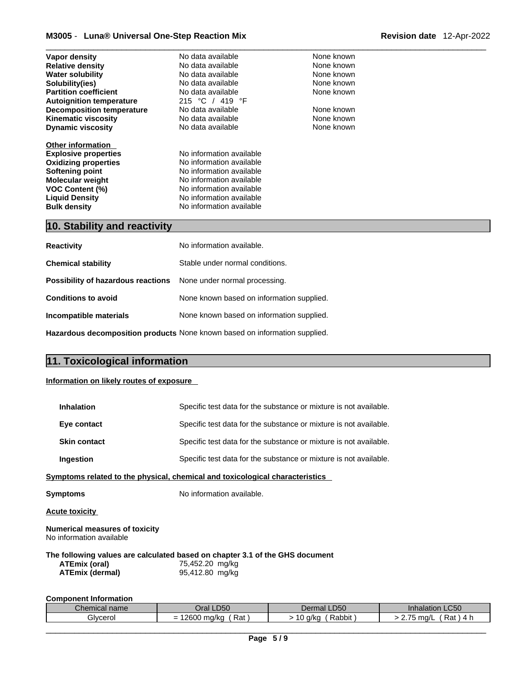# \_\_\_\_\_\_\_\_\_\_\_\_\_\_\_\_\_\_\_\_\_\_\_\_\_\_\_\_\_\_\_\_\_\_\_\_\_\_\_\_\_\_\_\_\_\_\_\_\_\_\_\_\_\_\_\_\_\_\_\_\_\_\_\_\_\_\_\_\_\_\_\_\_\_\_\_\_\_\_\_\_\_\_\_\_\_\_\_\_\_\_\_\_ **M3005** - **Luna® Universal One-Step Reaction Mix Revision date** 12-Apr-2022

| Vapor density                      | No data available               | None known |
|------------------------------------|---------------------------------|------------|
| <b>Relative density</b>            | No data available               | None known |
| <b>Water solubility</b>            | No data available               | None known |
| Solubility(ies)                    | No data available               | None known |
| <b>Partition coefficient</b>       | No data available               | None known |
| <b>Autoignition temperature</b>    | 215 °C / 419 °F                 |            |
| <b>Decomposition temperature</b>   | No data available               | None known |
| <b>Kinematic viscosity</b>         | No data available               | None known |
| <b>Dynamic viscosity</b>           | No data available               | None known |
|                                    |                                 |            |
| <b>Other information</b>           |                                 |            |
| <b>Explosive properties</b>        | No information available        |            |
| <b>Oxidizing properties</b>        | No information available        |            |
| <b>Softening point</b>             | No information available        |            |
| <b>Molecular weight</b>            | No information available        |            |
| <b>VOC Content (%)</b>             | No information available        |            |
| <b>Liquid Density</b>              | No information available        |            |
| <b>Bulk density</b>                | No information available        |            |
|                                    |                                 |            |
| 10. Stability and reactivity       |                                 |            |
|                                    |                                 |            |
| <b>Reactivity</b>                  | No information available.       |            |
|                                    |                                 |            |
| <b>Chemical stability</b>          | Stable under normal conditions. |            |
|                                    |                                 |            |
| Possibility of hazardous reactions | None under normal processing.   |            |

| <b>Conditions to avoid</b> | None known based on information supplied. |
|----------------------------|-------------------------------------------|
| Incompatible materials     | None known based on information supplied. |

**Hazardous decomposition products** None known based on information supplied.

# **11. Toxicological information**

# **Information on likely routes of exposure**

| <b>Inhalation</b>                                                 | Specific test data for the substance or mixture is not available.                                                  |
|-------------------------------------------------------------------|--------------------------------------------------------------------------------------------------------------------|
| Eye contact                                                       | Specific test data for the substance or mixture is not available.                                                  |
| <b>Skin contact</b>                                               | Specific test data for the substance or mixture is not available.                                                  |
| Ingestion                                                         | Specific test data for the substance or mixture is not available.                                                  |
|                                                                   | <u>Symptoms related to the physical, chemical and toxicological characteristics</u>                                |
| <b>Symptoms</b>                                                   | No information available.                                                                                          |
| <b>Acute toxicity</b>                                             |                                                                                                                    |
| <b>Numerical measures of toxicity</b><br>No information available |                                                                                                                    |
| ATEmix (oral)<br>ATEmix (dermal)                                  | The following values are calculated based on chapter 3.1 of the GHS document<br>75,452.20 mg/kg<br>95,412.80 mg/kg |
| <b>Component Information</b>                                      |                                                                                                                    |

| LD50          |                                                         | <b>Inhalation LC50</b>      |                           |
|---------------|---------------------------------------------------------|-----------------------------|---------------------------|
| Chemical name |                                                         | <b>LD50</b>                 |                           |
| ⊡Ora⊩∟        |                                                         | Dermal                      |                           |
| Givcerol      | 0.000<br>∍ma∕ka<br>Rat<br>-<br>$\sim$ - $\sim$ - $\sim$ | <b>Rabbit</b><br>-a/kc<br>v | $- -$<br>ma/<br>്പ<br>Kd. |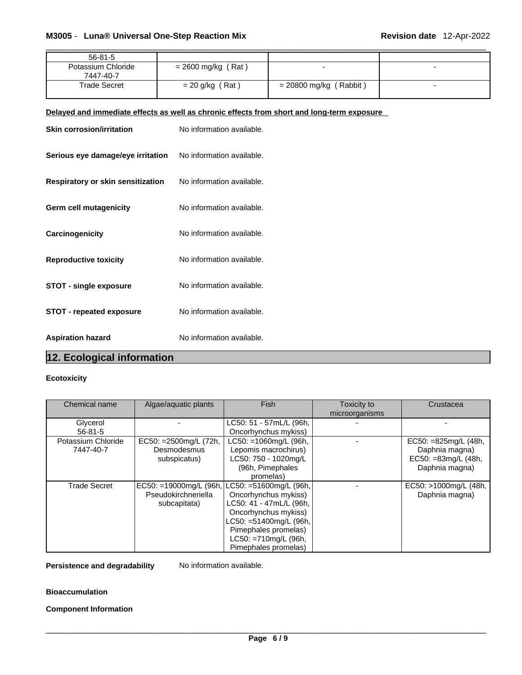| 56-81-5                         |                      |                          |  |
|---------------------------------|----------------------|--------------------------|--|
| Potassium Chloride<br>7447-40-7 | $= 2600$ mg/kg (Rat) | -                        |  |
| Trade Secret                    | $= 20$ g/kg (Rat)    | $= 20800$ mg/kg (Rabbit) |  |

# **Delayed and immediate effects as well as chronic effects from short and long-term exposure**

| <b>Skin corrosion/irritation</b>  | No information available. |
|-----------------------------------|---------------------------|
| Serious eye damage/eye irritation | No information available. |
| Respiratory or skin sensitization | No information available. |
| Germ cell mutagenicity            | No information available. |
| Carcinogenicity                   | No information available. |
| <b>Reproductive toxicity</b>      | No information available. |
| <b>STOT - single exposure</b>     | No information available. |
| <b>STOT - repeated exposure</b>   | No information available. |
| <b>Aspiration hazard</b>          | No information available. |

# **12. Ecological information**

# **Ecotoxicity**

| Chemical name       | Algae/aquatic plants                          | <b>Fish</b>             | Toxicity to    | Crustacea             |
|---------------------|-----------------------------------------------|-------------------------|----------------|-----------------------|
|                     |                                               |                         | microorganisms |                       |
| Glycerol            |                                               | LC50: 51 - 57mL/L (96h, |                |                       |
| $56 - 81 - 5$       |                                               | Oncorhynchus mykiss)    |                |                       |
| Potassium Chloride  | EC50: = 2500mg/L (72h,                        | LC50: =1060mg/L (96h,   |                | EC50: $=825mg/L(48h,$ |
| 7447-40-7           | Desmodesmus                                   | Lepomis macrochirus)    |                | Daphnia magna)        |
|                     | subspicatus)                                  | LC50: 750 - 1020mg/L    |                | EC50: =83mg/L (48h,   |
|                     |                                               | (96h, Pimephales        |                | Daphnia magna)        |
|                     |                                               | promelas)               |                |                       |
| <b>Trade Secret</b> | EC50: =19000mg/L (96h, LC50: =51600mg/L (96h, |                         |                | EC50: >1000mg/L (48h, |
|                     | Pseudokirchneriella                           | Oncorhynchus mykiss)    |                | Daphnia magna)        |
|                     | subcapitata)                                  | LC50: 41 - 47mL/L (96h, |                |                       |
|                     |                                               | Oncorhynchus mykiss)    |                |                       |
|                     |                                               | LC50: =51400mg/L (96h,  |                |                       |
|                     |                                               | Pimephales promelas)    |                |                       |
|                     |                                               | LC50: =710mg/L (96h,    |                |                       |
|                     |                                               | Pimephales promelas)    |                |                       |

**Persistence and degradability** No information available.

**Bioaccumulation**

**Component Information**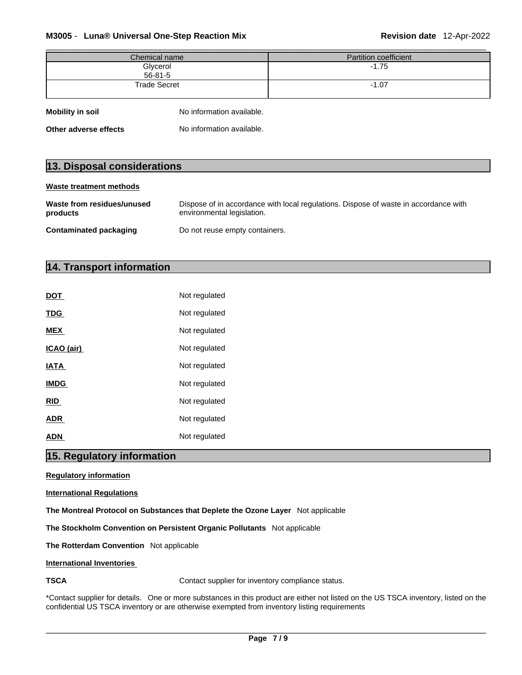# \_\_\_\_\_\_\_\_\_\_\_\_\_\_\_\_\_\_\_\_\_\_\_\_\_\_\_\_\_\_\_\_\_\_\_\_\_\_\_\_\_\_\_\_\_\_\_\_\_\_\_\_\_\_\_\_\_\_\_\_\_\_\_\_\_\_\_\_\_\_\_\_\_\_\_\_\_\_\_\_\_\_\_\_\_\_\_\_\_\_\_\_\_ **M3005** - **Luna® Universal One-Step Reaction Mix Revision date** 12-Apr-2022

| Chemical name       | Partition coefficient |
|---------------------|-----------------------|
| Glycerol<br>56-81-5 | $-1.75$               |
|                     |                       |
| <b>Trade Secret</b> | $-1.07$               |
|                     |                       |
|                     |                       |

| <b>Mobility in soil</b> | No information available. |
|-------------------------|---------------------------|
| Other adverse effects   | No information available. |

# **13. Disposal considerations**

| Waste treatment methods                |                                                                                                                    |
|----------------------------------------|--------------------------------------------------------------------------------------------------------------------|
| Waste from residues/unused<br>products | Dispose of in accordance with local regulations. Dispose of waste in accordance with<br>environmental legislation. |
| <b>Contaminated packaging</b>          | Do not reuse empty containers.                                                                                     |

# **14. Transport information**

| DOT         | Not regulated |
|-------------|---------------|
| <b>TDG</b>  | Not regulated |
| <b>MEX</b>  | Not regulated |
| ICAO (air)  | Not regulated |
| <b>IATA</b> | Not regulated |
| <b>IMDG</b> | Not regulated |
| <b>RID</b>  | Not regulated |
| <b>ADR</b>  | Not regulated |
| <b>ADN</b>  | Not regulated |

# **15. Regulatory information**

# **Regulatory information**

# **International Regulations**

**The Montreal Protocol on Substances that Deplete the Ozone Layer** Not applicable

**The Stockholm Convention on Persistent Organic Pollutants** Not applicable

**The Rotterdam Convention** Not applicable

# **International Inventories**

**TSCA Contact supplier for inventory compliance status.** 

\*Contact supplier for details. One or more substances in this product are either not listed on the US TSCA inventory, listed on the confidential US TSCA inventory or are otherwise exempted from inventory listing requirements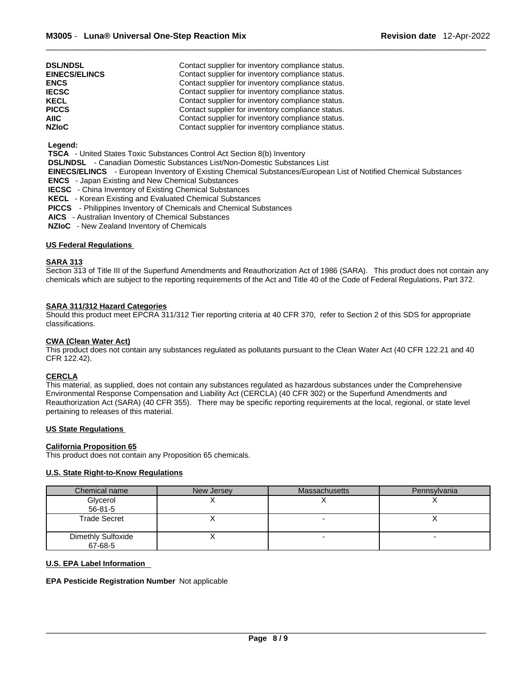| <b>DSL/NDSL</b>      | Contact supplier for inventory compliance status. |
|----------------------|---------------------------------------------------|
| <b>EINECS/ELINCS</b> | Contact supplier for inventory compliance status. |
| <b>ENCS</b>          | Contact supplier for inventory compliance status. |
| <b>IECSC</b>         | Contact supplier for inventory compliance status. |
| <b>KECL</b>          | Contact supplier for inventory compliance status. |
| <b>PICCS</b>         | Contact supplier for inventory compliance status. |
| <b>AIIC</b>          | Contact supplier for inventory compliance status. |
| <b>NZIoC</b>         | Contact supplier for inventory compliance status. |

# **Legend:**

 **TSCA** - United States Toxic Substances Control Act Section 8(b) Inventory

 **DSL/NDSL** - Canadian Domestic Substances List/Non-Domestic Substances List

 **EINECS/ELINCS** - European Inventory of Existing Chemical Substances/European List of Notified Chemical Substances

- **ENCS**  Japan Existing and New Chemical Substances
- **IECSC**  China Inventory of Existing Chemical Substances
- **KECL**  Korean Existing and Evaluated Chemical Substances
- **PICCS**  Philippines Inventory of Chemicals and Chemical Substances
- **AICS**  Australian Inventory of Chemical Substances
- **NZIoC**  New Zealand Inventory of Chemicals

### **US Federal Regulations**

# **SARA 313**

Section 313 of Title III of the Superfund Amendments and Reauthorization Act of 1986 (SARA). This product does not contain any chemicals which are subject to the reporting requirements of the Act and Title 40 of the Code of Federal Regulations, Part 372.

### **SARA 311/312 Hazard Categories**

Should this product meet EPCRA 311/312 Tier reporting criteria at 40 CFR 370, refer to Section 2 of this SDS for appropriate classifications.

#### **CWA (Clean WaterAct)**

This product does not contain any substances regulated as pollutants pursuant to the Clean Water Act (40 CFR 122.21 and 40 CFR 122.42).

# **CERCLA**

This material, as supplied, does not contain any substances regulated as hazardous substances under the Comprehensive Environmental Response Compensation and Liability Act (CERCLA) (40 CFR 302) or the Superfund Amendments and Reauthorization Act (SARA) (40 CFR 355). There may be specific reporting requirements at the local, regional, or state level pertaining to releases of this material.

### **US State Regulations**

#### **California Proposition 65**

This product does not contain any Proposition 65 chemicals.

# **U.S. State Right-to-Know Regulations**

| Chemical name                 | New Jersey | <b>Massachusetts</b> | Pennsylvania |
|-------------------------------|------------|----------------------|--------------|
| Glycerol                      |            |                      |              |
| $56 - 81 - 5$                 |            |                      |              |
| Trade Secret                  |            |                      |              |
| Dimethly Sulfoxide<br>67-68-5 |            |                      |              |

#### **U.S. EPA Label Information**

**EPA Pesticide Registration Number** Not applicable